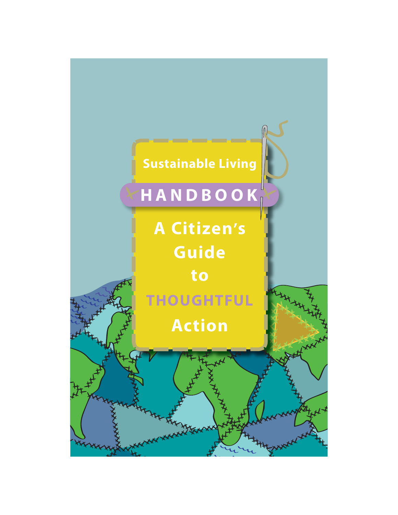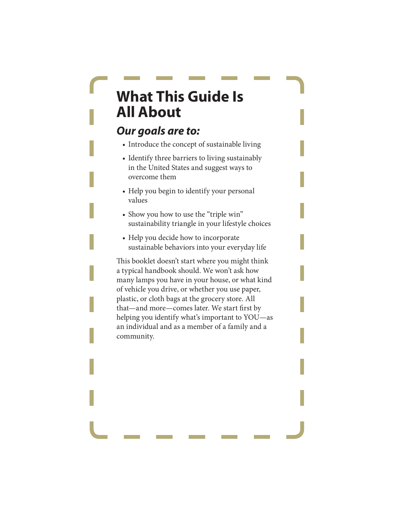# **What This Guide Is All About**

### *Our goals are to:*

- Introduce the concept of sustainable living
- Identify three barriers to living sustainably in the United States and suggest ways to overcome them
- Help you begin to identify your personal values
- Show you how to use the "triple win" sustainability triangle in your lifestyle choices
- Help you decide how to incorporate sustainable behaviors into your everyday life

This booklet doesn't start where you might think a typical handbook should. We won't ask how many lamps you have in your house, or what kind of vehicle you drive, or whether you use paper, plastic, or cloth bags at the grocery store. All that—and more—comes later. We start first by helping you identify what's important to YOU—as an individual and as a member of a family and a community.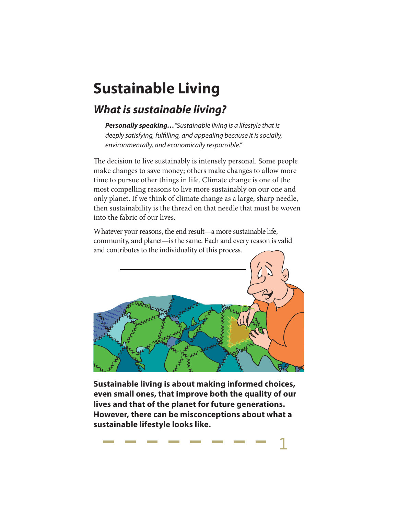# **Sustainable Living**

## *What is sustainable living?*

*Personally speaking…*"Sustainable living is a lifestyle that is deeply satisfying, fulfilling, and appealing because it is socially, environmentally, and economically responsible."

The decision to live sustainably is intensely personal. Some people make changes to save money; others make changes to allow more time to pursue other things in life. Climate change is one of the most compelling reasons to live more sustainably on our one and only planet. If we think of climate change as a large, sharp needle, then sustainability is the thread on that needle that must be woven into the fabric of our lives.

Whatever your reasons, the end result—a more sustainable life, community, and planet—is the same. Each and every reason is valid and contributes to the individuality of this process.



**Sustainable living is about making informed choices, even small ones, that improve both the quality of our lives and that of the planet for future generations. However, there can be misconceptions about what a sustainable lifestyle looks like.** 

 $\mathbf{1}$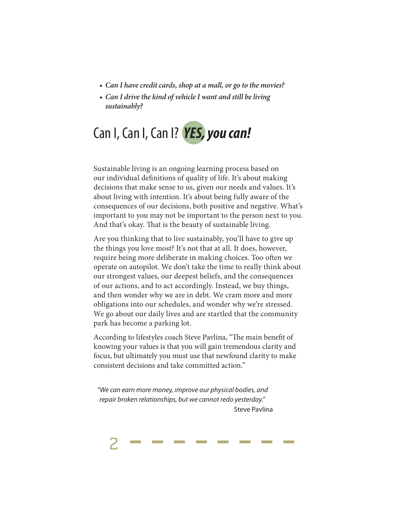- *Can I have creditcards, shop at a mall, or go to the movies?*
- *Can I drive the kind of vehicle I want and still be living sustainably?*



Sustainable living is an ongoing learning process based on our individual definitions of quality of life. It's about making decisions that make sense to us, given our needs and values. It's about living with intention. It's about being fully aware of the consequences of our decisions, both positive and negative. What's important to you may not be important to the person next to you. And that's okay. That is the beauty of sustainable living.

Are you thinking that to live sustainably, you'll have to give up the things you love most? It's not that at all. It does, however, require being more deliberate in making choices. Too often we operate on autopilot. We don't take the time to really think about our strongest values, our deepest beliefs, and the consequences of our actions, and to act accordingly. Instead, we buy things, and then wonder why we are in debt. We cram more and more obligations into our schedules, and wonder why we're stressed. We go about our daily lives and are startled that the community park has become a parking lot.

According to lifestyles coach Steve Pavlina, "The main benefit of knowing your values is that you will gain tremendous clarity and focus, but ultimately you must use that newfound clarity to make consistent decisions and take committed action."

"We can earn more money, improve our physical bodies, and repair broken relationships, but we cannot redo yesterday." Steve Pavlina

 $\mathsf{S}$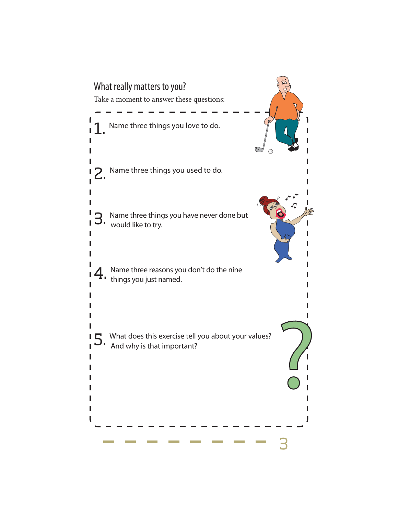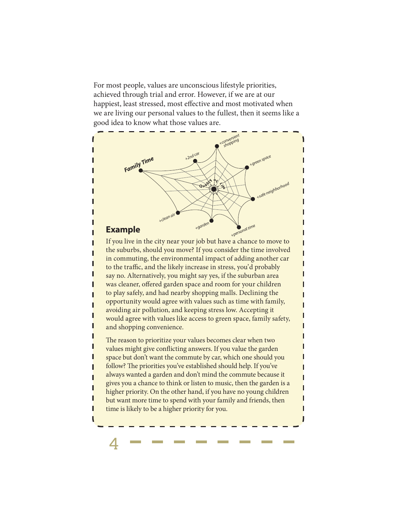For most people, values are unconscious lifestyle priorities, achieved through trial and error. However, if we are at our happiest, least stressed, most effective and most motivated when we are living our personal values to the fullest, then it seems like a good idea to know what those values are.



 $\overline{4}$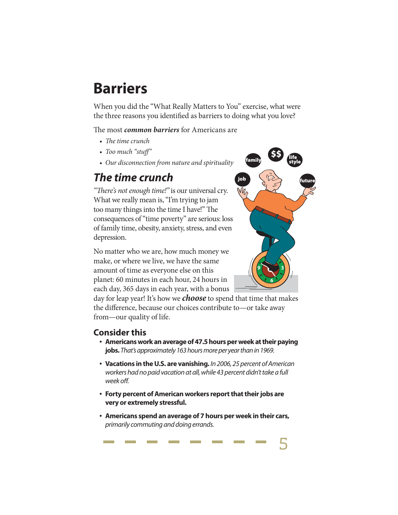# **Barriers**

When you did the "What Really Matters to You" exercise, what were the three reasons you identified as barriers to doing what you love?

The most *common barriers* for Americans are

- 5 *The time crunch*
- 5 *Too much "stuff"*
- 5 *Our disconnection from nature and spirituality*

## *The time crunch*

*"There's not enough time!"* is our universal cry. What we really mean is, "I'm trying to jam too many things into the time I have!" The consequences of "time poverty" are serious: loss of family time, obesity, anxiety, stress, and even depression.

No matter who we are, how much money we make, or where we live, we have the same amount of time as everyone else on this planet: 60 minutes in each hour, 24 hours in each day, 365 days in each year, with a bonus



5

day for leap year! It's how we *choose* to spend that time that makes the difference, because our choices contribute to—or take away from—our quality of life.

#### **Consider this**

- **Americans work an average of 47.5 hours per week at their paying jobs.** That's approximately 163 hours more per year than in 1969.
- Vacations in the U.S. are vanishing. In 2006, 25 percent of American workers had no paid vacation at all, while 43 percent didn't take a full week off.
- **Forty percent of American workers report that their jobs are very or extremely stressful.**
- **Americans spend an average of 7 hours per week in their cars,** primarily commuting and doing errands.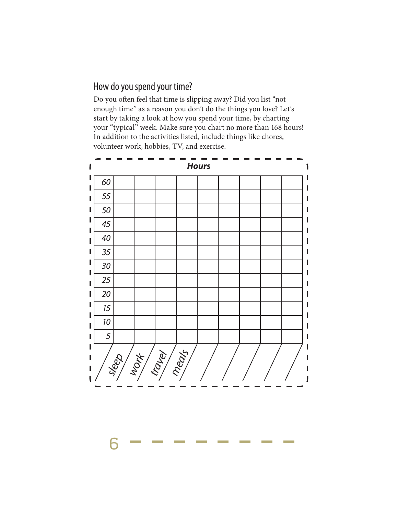### How do you spend your time?

6

Do you often feel that time is slipping away? Did you list "not enough time" as a reason you don't do the things you love? Let's start by taking a look at how you spend your time, by charting your "typical" week. Make sure you chart no more than 168 hours! In addition to the activities listed, include things like chores, volunteer work, hobbies, TV, and exercise.

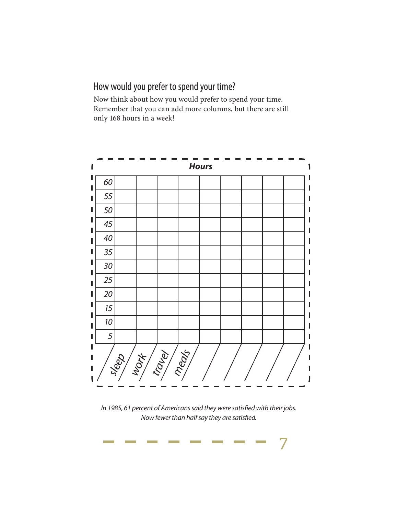### How would you prefer to spend your time?

Now think about how you would prefer to spend your time. Remember that you can add more columns, but there are still only 168 hours in a week!



In 1985, 61 percent of Americans said they were satisfied with their jobs. Now fewer than half say they are satisfied.

 $\overline{\phantom{a}}$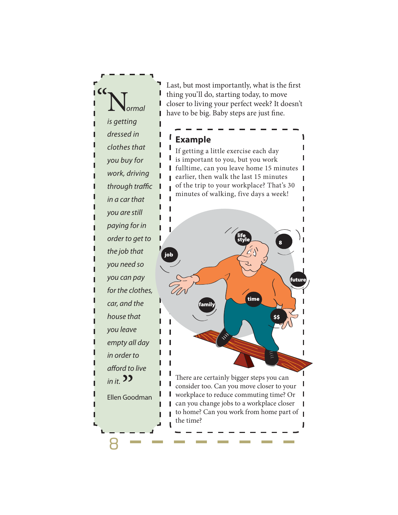Normal is getting dressed in clothes that you buy for work, driving through traffic in a car that you are still paying for in order to get to the job that you need so you can pay for the clothes, car, and the house that you leave empty all day in order to afford to live in it.  $\frac{3}{2}$ Ellen Goodman

8

L Ĺ

Last, but most importantly, what is the first thing you'll do, starting today, to move closer to living your perfect week? It doesn't have to be big. Baby steps are just fine.

### **Example** If getting a little exercise each day is important to you, but you work L **I** fulltime, can you leave home 15 minutes **I** earlier, then walk the last 15 minutes of the trip to your workplace? That's 30 minutes of walking, five days a week! **life style 8 job future time family**

There are certainly bigger steps you can consider too. Can you move closer to your workplace to reduce commuting time? Or can you change jobs to a workplace closer to home? Can you work from home part of the time?

**\$\$**

ľ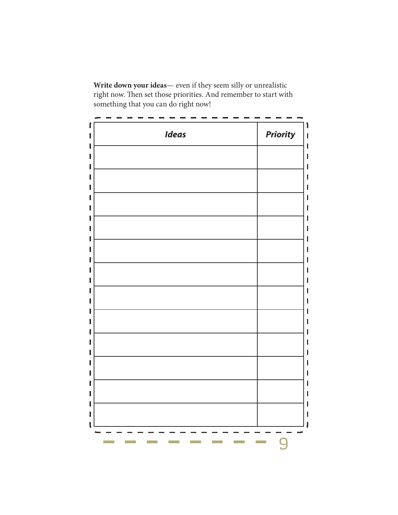**Write down your ideas**— even if they seem silly or unrealistic right now. Then set those priorities. And remember to start with something that you can do right now!

| <b>Ideas</b> | <b>Priority</b> |
|--------------|-----------------|
|              |                 |
|              |                 |
|              |                 |
|              |                 |
|              |                 |
|              |                 |
|              |                 |
|              |                 |
|              |                 |
|              |                 |
|              |                 |
|              |                 |
|              |                 |
|              |                 |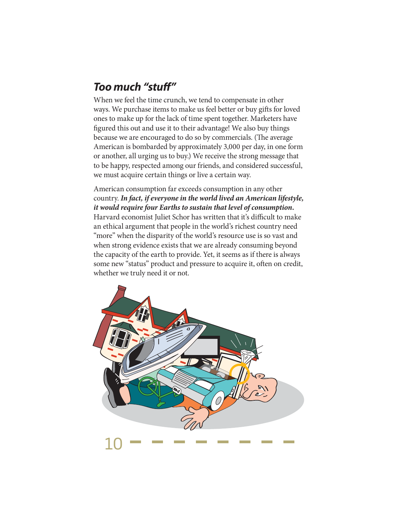## *Too much "stuff"*

When we feel the time crunch, we tend to compensate in other ways. We purchase items to make us feel better or buy gifts for loved ones to make up for the lack of time spent together. Marketers have figured this out and use it to their advantage! We also buy things because we are encouraged to do so by commercials. (The average American is bombarded by approximately 3,000 per day, in one form or another, all urging us to buy.) We receive the strong message that to be happy, respected among our friends, and considered successful, we must acquire certain things or live a certain way.

American consumption far exceeds consumption in any other country. *In fact, if everyone in the world lived an American lifestyle, it would require four Earths to sustain that level of consumption.* Harvard economist Juliet Schor has written that it's difficult to make an ethical argument that people in the world's richest country need "more" when the disparity of the world's resource use is so vast and when strong evidence exists that we are already consuming beyond the capacity of the earth to provide. Yet, it seems as if there is always some new "status" product and pressure to acquire it, often on credit, whether we truly need it or not.

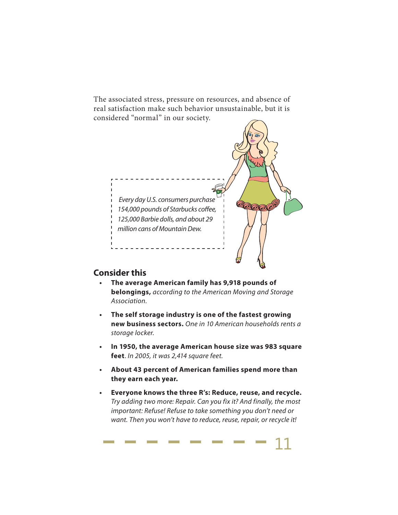The associated stress, pressure on resources, and absence of real satisfaction make such behavior unsustainable, but it is considered "normal" in our society.



#### **Consider this**

- **@ The average American family has 9,918 pounds of belongings,** according to the American Moving and Storage Association.
- **@ The self storage industry is one of the fastest growing new business sectors.** One in 10 American households rents a storage locker.
- **@ In 1950, the average American house size was 983 square feet**. In 2005, it was 2,414 square feet.
- **@ About 43 percent of American families spend more than they earn each year.**
- **@ Everyone knows the three R's: Reduce, reuse, and recycle.**  Try adding two more: Repair. Can you fix it? And finally, the most important: Refuse! Refuse to take something you don't need or want. Then you won't have to reduce, reuse, repair, or recycle it!

<u>11</u>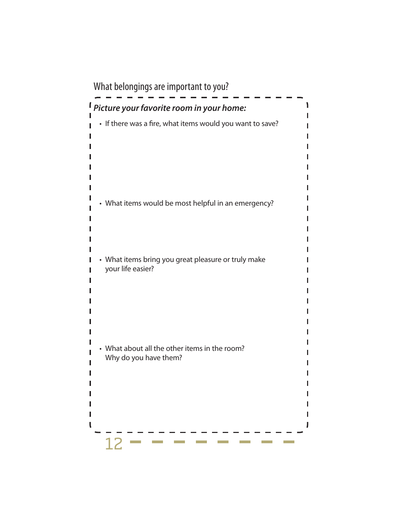What belongings are important to you? *Picture your favorite room in your home:*   $\blacksquare$ ı • If there was a fire, what items would you want to save? Ĭ. I п Ī п • What items would be most helpful in an emergency? Ш • What items bring you great pleasure or truly make your life easier? • What about all the other items in the room? Why do you have them? п ı п П п 12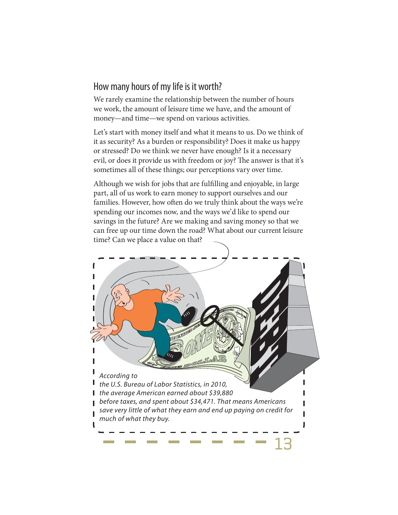#### How many hours of my life is it worth?

We rarely examine the relationship between the number of hours we work, the amount of leisure time we have, and the amount of money—and time—we spend on various activities.

Let's start with money itself and what it means to us. Do we think of it as security? As a burden or responsibility? Does it make us happy or stressed? Do we think we never have enough? Is it a necessary evil, or does it provide us with freedom or joy? The answer is that it's sometimes all of these things; our perceptions vary over time.

Although we wish for jobs that are fulfilling and enjoyable, in large part, all of us work to earn money to support ourselves and our families. However, how often do we truly think about the ways we're spending our incomes now, and the ways we'd like to spend our savings in the future? Are we making and saving money so that we can free up our time down the road? What about our current leisure time? Can we place a value on that?

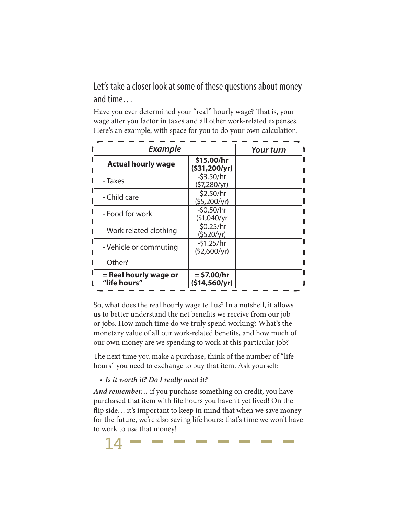Let's take a closer look at some of these questions about money and time…

Have you ever determined your "real" hourly wage? That is, your wage after you factor in taxes and all other work-related expenses. Here's an example, with space for you to do your own calculation.

| <b>Example</b>                        | <b>Your turn</b>               |  |  |  |
|---------------------------------------|--------------------------------|--|--|--|
| <b>Actual hourly wage</b>             | \$15.00/hr<br>(\$31,200/yr)    |  |  |  |
| - Taxes                               | $-53.50/hr$<br>(57,280/yr)     |  |  |  |
| - Child care                          | $-52.50/hr$<br>(\$5,200/yr)    |  |  |  |
| - Food for work                       | $-50.50/hr$<br>(\$1,040/yr     |  |  |  |
| - Work-related clothing               | $-50.25/hr$<br>(\$520/yr)      |  |  |  |
| - Vehicle or commuting                | $-51.25/hr$<br>(\$2,600/yr)    |  |  |  |
| - Other?                              |                                |  |  |  |
| = Real hourly wage or<br>"life hours" | $=$ \$7.00/hr<br>(\$14,560/yr) |  |  |  |

So, what does the real hourly wage tell us? In a nutshell, it allows us to better understand the net benefits we receive from our job or jobs. How much time do we truly spend working? What's the monetary value of all our work-related benefits, and how much of our own money are we spending to work at this particular job?

The next time you make a purchase, think of the number of "life hours" you need to exchange to buy that item. Ask yourself:

#### *Is it worth it? Do I really need it?*

*And remember…* if you purchase something on credit, you have purchased that item with life hours you haven't yet lived! On the flip side… it's important to keep in mind that when we save money for the future, we're also saving life hours: that's time we won't have to work to use that money!

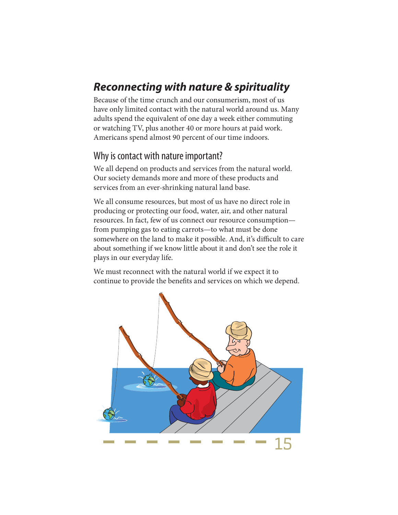## *Reconnecting with nature & spirituality*

Because of the time crunch and our consumerism, most of us have only limited contact with the natural world around us. Many adults spend the equivalent of one day a week either commuting or watching TV, plus another 40 or more hours at paid work. Americans spend almost 90 percent of our time indoors.

#### Why is contact with nature important?

We all depend on products and services from the natural world. Our society demands more and more of these products and services from an ever-shrinking natural land base.

We all consume resources, but most of us have no direct role in producing or protecting our food, water, air, and other natural resources. In fact, few of us connect our resource consumption from pumping gas to eating carrots—to what must be done somewhere on the land to make it possible. And, it's difficult to care about something if we know little about it and don't see the role it plays in our everyday life.

We must reconnect with the natural world if we expect it to continue to provide the benefits and services on which we depend.

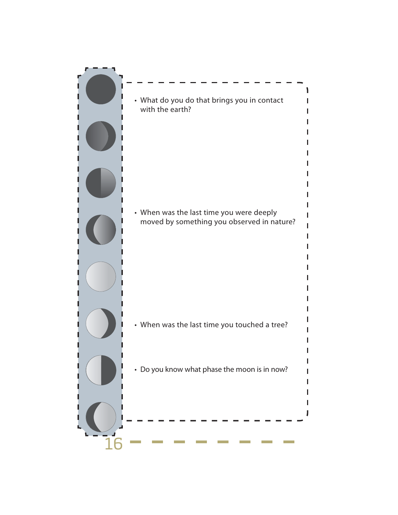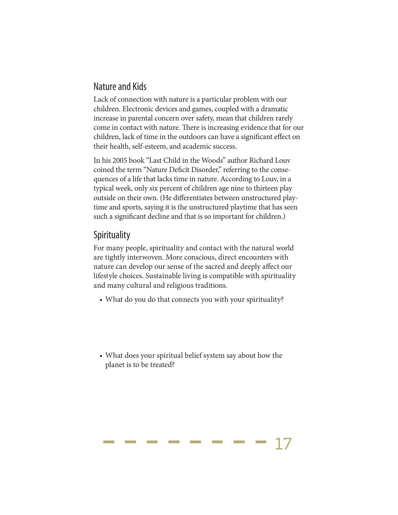#### Nature and Kids

Lack of connection with nature is a particular problem with our children. Electronic devices and games, coupled with a dramatic increase in parental concern over safety, mean that children rarely come in contact with nature. There is increasing evidence that for our children, lack of time in the outdoors can have a significant effect on their health, self-esteem, and academic success.

In his 2005 book "Last Child in the Woods" author Richard Louv coined the term "Nature Deficit Disorder," referring to the consequences of a life that lacks time in nature. According to Louv, in a typical week, only six percent of children age nine to thirteen play outside on their own. (He differentiates between unstructured playtime and sports, saying it is the unstructured playtime that has seen such a significant decline and that is so important for children.)

#### **Spirituality**

For many people, spirituality and contact with the natural world are tightly interwoven. More conscious, direct encounters with nature can develop our sense of the sacred and deeply affect our lifestyle choices. Sustainable living is compatible with spirituality and many cultural and religious traditions.

- What do you do that connects you with your spirituality?
- What does your spiritual belief system say about how the planet is to be treated?

 $\sim 10^{-10}$  and  $\sim 10^{-10}$ 

and the control of the con-

the control of the control of the control of

 $\mathbf{1}$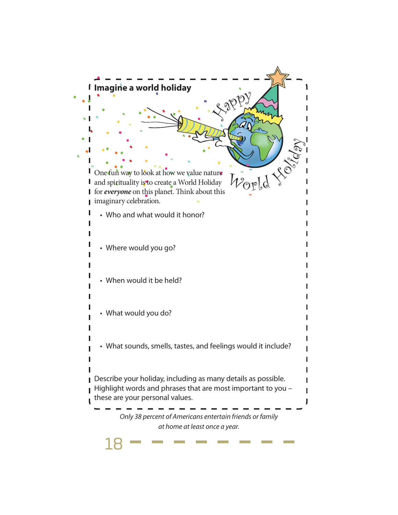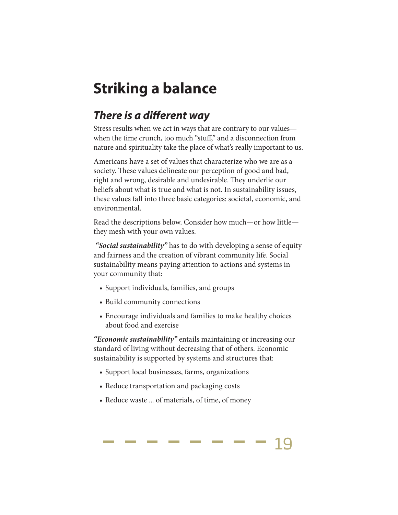# **Striking a balance**

## *There is a different way*

Stress results when we act in ways that are contrary to our values when the time crunch, too much "stuff," and a disconnection from nature and spirituality take the place of what's really important to us.

Americans have a set of values that characterize who we are as a society. These values delineate our perception of good and bad, right and wrong, desirable and undesirable. They underlie our beliefs about what is true and what is not. In sustainability issues, these values fall into three basic categories: societal, economic, and environmental.

Read the descriptions below. Consider how much—or how little they mesh with your own values.

 *"Social sustainability"* has to do with developing a sense of equity and fairness and the creation of vibrant community life. Social sustainability means paying attention to actions and systems in your community that:

- Support individuals, families, and groups
- Build community connections

**Contract Contract** 

• Encourage individuals and families to make healthy choices about food and exercise

*"Economic sustainability"* entails maintaining or increasing our standard of living without decreasing that of others. Economic sustainability is supported by systems and structures that:

the control of the control of the control of the control of the control of

19

- Support local businesses, farms, organizations
- Reduce transportation and packaging costs
- Reduce waste ... of materials, of time, of money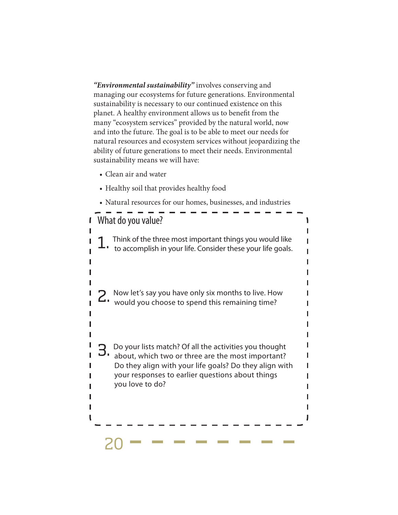*"Environmental sustainability"* involves conserving and managing our ecosystems for future generations. Environmental sustainability is necessary to our continued existence on this planet. A healthy environment allows us to benefit from the many "ecosystem services" provided by the natural world, now and into the future. The goal is to be able to meet our needs for natural resources and ecosystem services without jeopardizing the ability of future generations to meet their needs. Environmental sustainability means we will have:

- Clean air and water
- Healthy soil that provides healthy food
- Natural resources for our homes, businesses, and industries

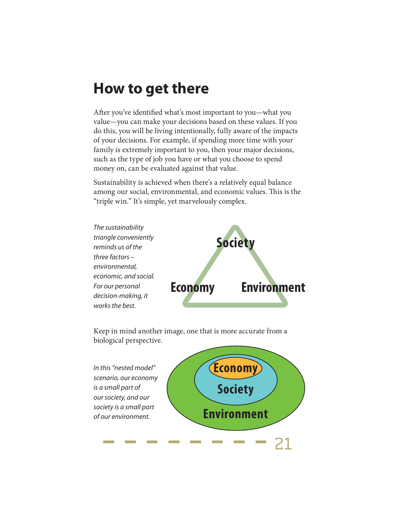## **How to get there**

After you've identified what's most important to you—what you value—you can make your decisions based on these values. If you do this, you will be living intentionally, fully aware of the impacts of your decisions. For example, if spending more time with your family is extremely important to you, then your major decisions, such as the type of job you have or what you choose to spend money on, can be evaluated against that value.

Sustainability is achieved when there's a relatively equal balance among our social, environmental, and economic values. This is the "triple win." It's simple, yet marvelously complex.



Keep in mind another image, one that is more accurate from a biological perspective.

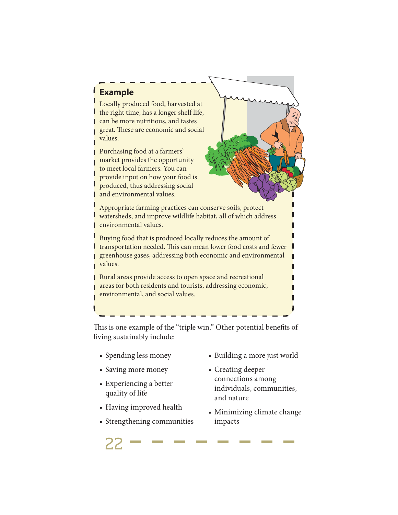#### **Example**

Ш

Locally produced food, harvested at the right time, has a longer shelf life, can be more nutritious, and tastes great. These are economic and social values.

Purchasing food at a farmers' market provides the opportunity to meet local farmers. You can provide input on how your food is produced, thus addressing social Г and environmental values.

Appropriate farming practices can conserve soils, protect watersheds, and improve wildlife habitat, all of which address environmental values.

Buying food that is produced locally reduces the amount of **I** transportation needed. This can mean lower food costs and fewer **greenhouse gases, addressing both economic and environmental** values.

**Rural areas provide access to open space and recreational** areas for both residents and tourists, addressing economic, environmental, and social values.

This is one example of the "triple win." Other potential benefits of living sustainably include:

- Spending less money
- Saving more money
- Experiencing a better quality of life

<u>22</u>

- Having improved health
- Strengthening communities
- Building a more just world
- Creating deeper connections among individuals, communities, and nature
- Minimizing climate change impacts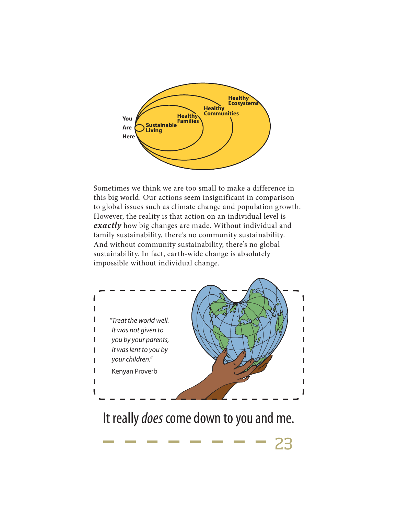

Sometimes we think we are too small to make a difference in this big world. Our actions seem insignificant in comparison to global issues such as climate change and population growth. However, the reality is that action on an individual level is *exactly* how big changes are made. Without individual and family sustainability, there's no community sustainability. And without community sustainability, there's no global sustainability. In fact, earth-wide change is absolutely impossible without individual change.



It really *does* come down to you and me.

23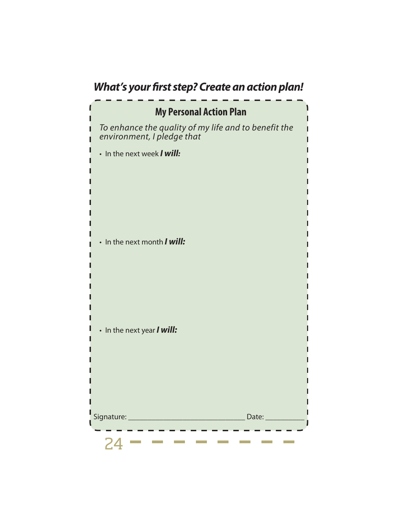## *What's your first step? Create an action plan!*

. . . . . . . . . .

| <b>My Personal Action Plan</b>                                                     |
|------------------------------------------------------------------------------------|
| To enhance the quality of my life and to benefit the<br>environment, I pledge that |
| • In the next week <b>I will:</b>                                                  |
|                                                                                    |
|                                                                                    |
|                                                                                    |
| . In the next month / will:                                                        |
|                                                                                    |
|                                                                                    |
|                                                                                    |
| • In the next year <b>I will:</b>                                                  |
|                                                                                    |
|                                                                                    |
|                                                                                    |
|                                                                                    |
| Date: _________                                                                    |
|                                                                                    |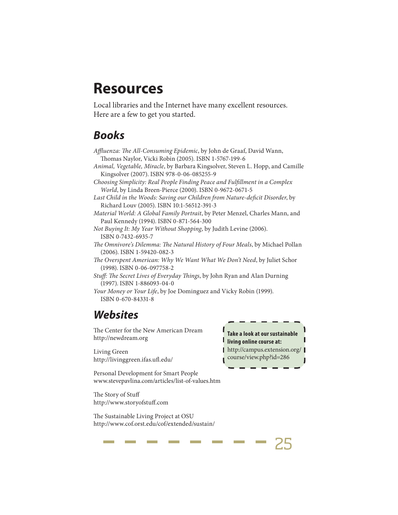## **Resources**

Local libraries and the Internet have many excellent resources. Here are a few to get you started.

## *Books*

*Affluenza: The All-Consuming Epidemic*, by John de Graaf, David Wann, Thomas Naylor, Vicki Robin (2005). ISBN 1-5767-199-6

*Animal, Vegetable, Miracle*, by Barbara Kingsolver, Steven L. Hopp, and Camille Kingsolver (2007). ISBN 978-0-06-085255-9

*Choosing Simplicity: Real People Finding Peace and Fulfillment in a Complex World*, by Linda Breen-Pierce (2000). ISBN 0-9672-0671-5

*Last Child in the Woods: Saving our Children from Nature-deficit Disorder*, by Richard Louv (2005). ISBN 10:1-56512-391-3

*Material World: A Global Family Portrait*, by Peter Menzel, Charles Mann, and Paul Kennedy (1994). ISBN 0-871-564-300

*Not Buying It: My Year Without Shopping*, by Judith Levine (2006). ISBN 0-7432-6935-7

- *The Omnivore's Dilemma: The Natural History of Four Meals*, by Michael Pollan (2006). ISBN 1-59420-082-3
- *The Overspent American: Why We Want What We Don't Need*, by Juliet Schor (1998). ISBN 0-06-097758-2
- *Stuff: The Secret Lives of Everyday Things*, by John Ryan and Alan Durning (1997). ISBN 1-886093-04-0

*Your Money or Your Life*, by Joe Dominguez and Vicky Robin (1999). ISBN 0-670-84331-8

## *Websites*

The Center for the New American Dream http://newdream.org

Living Green http://livinggreen.ifas.ufl.edu/

Personal Development for Smart People www.stevepavlina.com/articles/list-of-values.htm

The Story of Stuff http://www.storyofstuff.com

The Sustainable Living Project at OSU http://www.cof.orst.edu/cof/extended/sustain/

Take a look at our sustainable **Iiving online course at: living online course at:** http://campus.extension.org/ course/view.php?id=286

25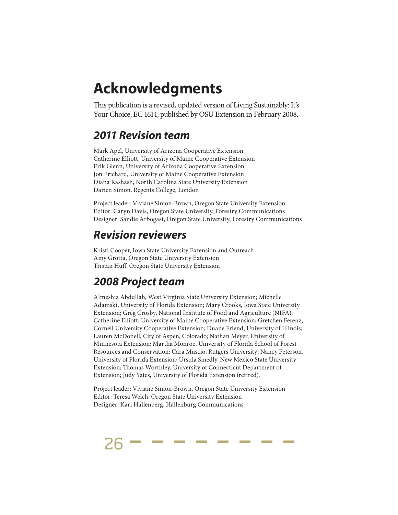# **Acknowledgments**

This publication is a revised, updated version of Living Sustainably: It's Your Choice, EC 1614, published by OSU Extension in February 2008.

## *2011 Revision team*

Mark Apel, University of Arizona Cooperative Extension Catherine Elliott, University of Maine Cooperative Extension Erik Glenn, University of Arizona Cooperative Extension Jon Prichard, University of Maine Cooperative Extension Diana Rashash, North Carolina State University Extension Darien Simon, Regents College, London

Project leader: Viviane Simon-Brown, Oregon State University Extension Editor: Caryn Davis, Oregon State University, Forestry Communications Designer: Sandie Arbogast, Oregon State University, Forestry Communications

## *Revision* **S***eviewers*

Kristi Cooper, Iowa State University Extension and Outreach Amy Grotta, Oregon State University Extension Tristan Huff, Oregon State University Extension

## *2008 Project team*

Almeshia Abdullah, West Virginia State University Extension; Michelle Adamski, University of Florida Extension; Mary Crooks, Iowa State University Extension; Greg Crosby, National Institute of Food and Agriculture (NIFA); Catherine Elliott, University of Maine Cooperative Extension; Gretchen Ferenz, Cornell University Cooperative Extension; Duane Friend, University of Illinois; Lauren McDonell, City of Aspen, Colorado; Nathan Meyer, University of Minnesota Extension; Martha Monroe, University of Florida School of Forest Resources and Conservation; Cara Muscio, Rutgers University; Nancy Peterson, University of Florida Extension; Ursula Smedly, New Mexico State University Extension; Thomas Worthley, University of Connecticut Department of Extension; Judy Yates, University of Florida Extension (retired).

Project leader: Viviane Simon-Brown, Oregon State University Extension Editor: Teresa Welch, Oregon State University Extension Designer: Kari Hallenberg, Hallenburg Communications

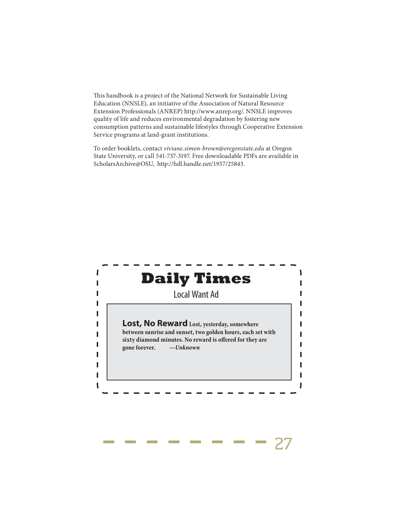This handbook is a project of the National Network for Sustainable Living Education (NNSLE), an initiative of the Association of Natural Resource Extension Professionals (ANREP) http://www.anrep.org/. NNSLE improves quality of life and reduces environmental degradation by fostering new consumption patterns and sustainable lifestyles through Cooperative Extension Service programs at land-grant institutions.

To order booklets, contact *viviane.simon-brown@oregonstate.edu* at Oregon State University, or call 541-737-3197. Free downloadable PDFs are available in ScholarsArchive@OSU, http://hdl.handle.net/1957/25843.



 $ZI$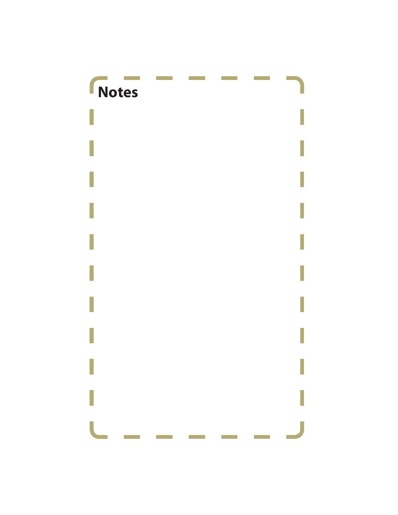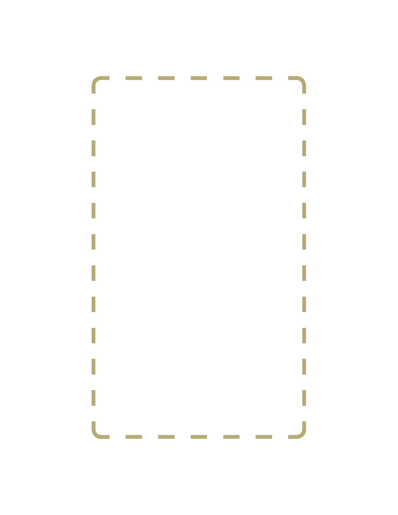